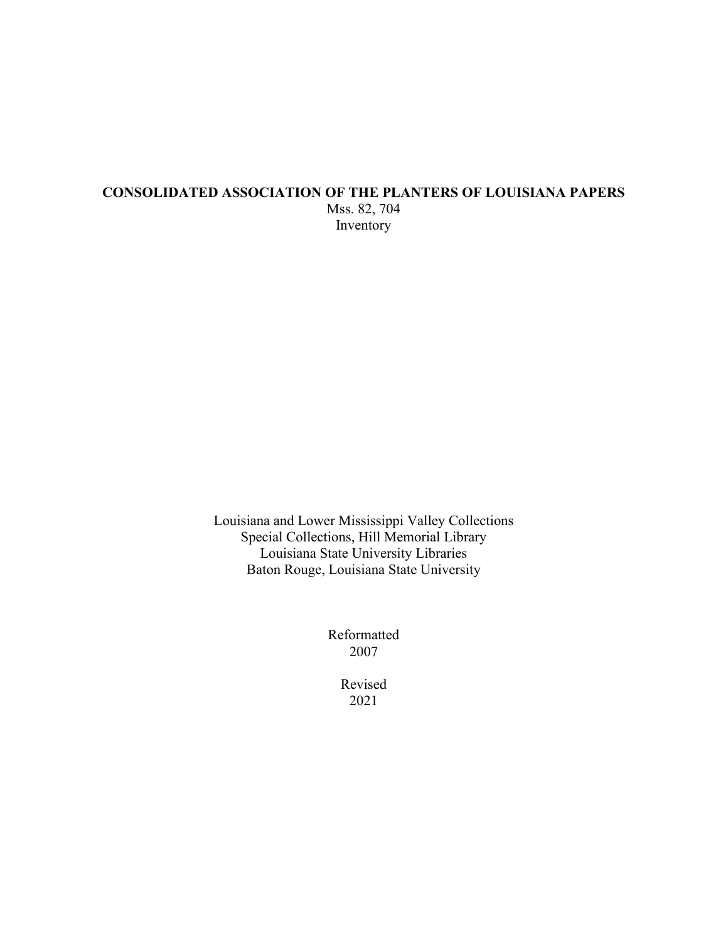## **CONSOLIDATED ASSOCIATION OF THE PLANTERS OF LOUISIANA PAPERS** Mss. 82, 704 Inventory

Louisiana and Lower Mississippi Valley Collections Special Collections, Hill Memorial Library Louisiana State University Libraries Baton Rouge, Louisiana State University

> Reformatted 2007

> > Revised 2021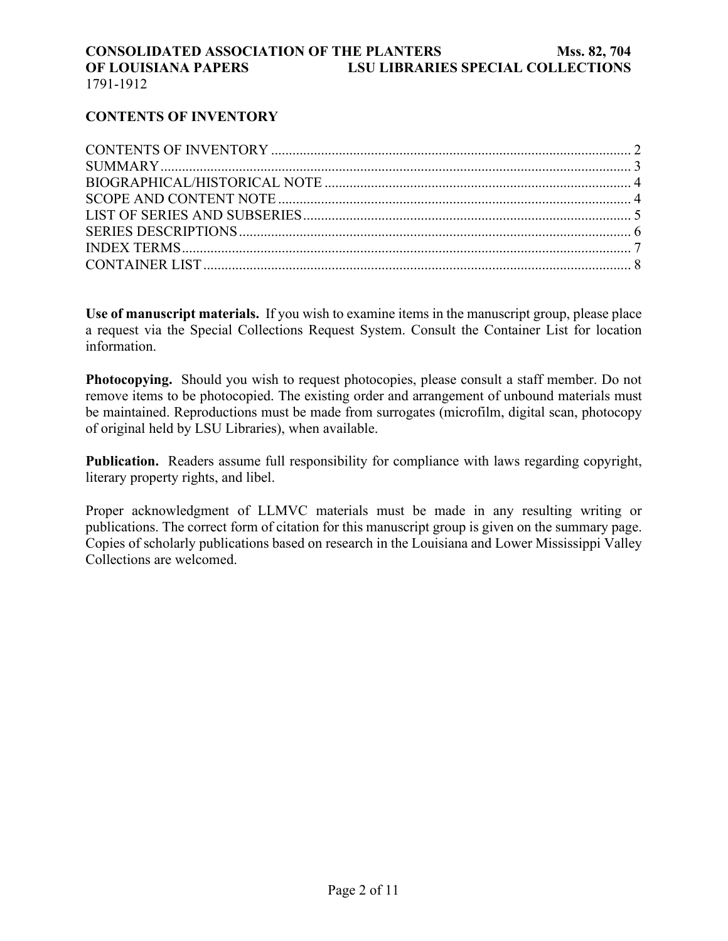## **CONTENTS OF INVENTORY**

**Use of manuscript materials.** If you wish to examine items in the manuscript group, please place a request via the Special Collections Request System. Consult the Container List for location information.

**Photocopying.** Should you wish to request photocopies, please consult a staff member. Do not remove items to be photocopied. The existing order and arrangement of unbound materials must be maintained. Reproductions must be made from surrogates (microfilm, digital scan, photocopy of original held by LSU Libraries), when available.

**Publication.** Readers assume full responsibility for compliance with laws regarding copyright, literary property rights, and libel.

Proper acknowledgment of LLMVC materials must be made in any resulting writing or publications. The correct form of citation for this manuscript group is given on the summary page. Copies of scholarly publications based on research in the Louisiana and Lower Mississippi Valley Collections are welcomed.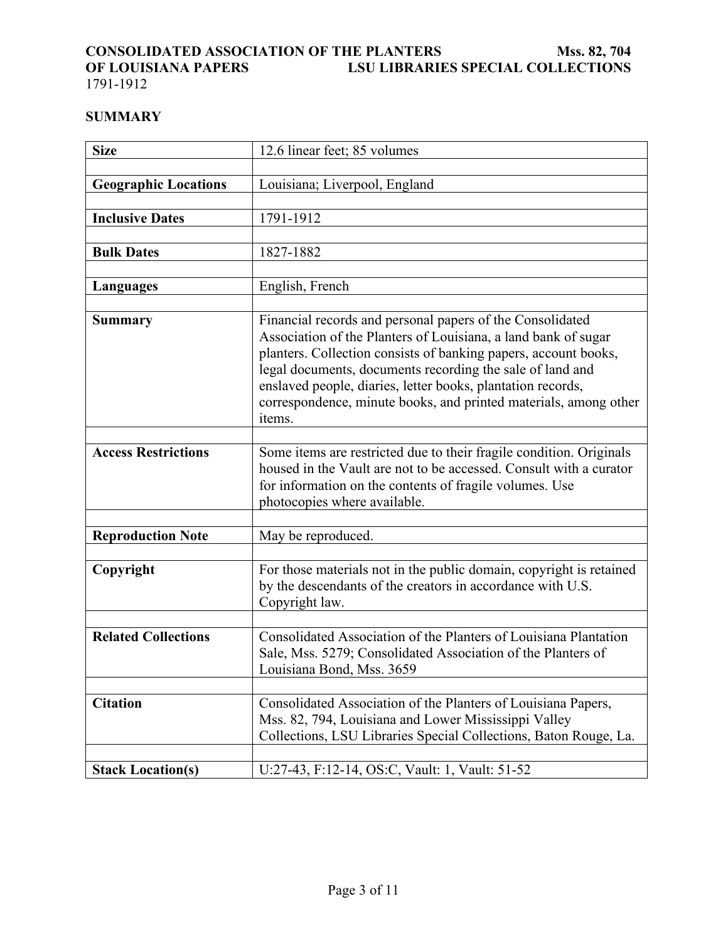# <span id="page-2-0"></span>**CONSOLIDATED ASSOCIATION OF THE PLANTERS<br>OF LOUISIANA PAPERS LSU LIBRARIE OF LOUISIANTERS** Mss. 82, 704<br>LSU LIBRARIES SPECIAL COLLECTIONS

1791-1912

## **SUMMARY**

| <b>Size</b>                 | 12.6 linear feet; 85 volumes                                                                                                                                                                                                                                                                                                                                                                             |  |
|-----------------------------|----------------------------------------------------------------------------------------------------------------------------------------------------------------------------------------------------------------------------------------------------------------------------------------------------------------------------------------------------------------------------------------------------------|--|
|                             |                                                                                                                                                                                                                                                                                                                                                                                                          |  |
| <b>Geographic Locations</b> | Louisiana; Liverpool, England                                                                                                                                                                                                                                                                                                                                                                            |  |
|                             |                                                                                                                                                                                                                                                                                                                                                                                                          |  |
| <b>Inclusive Dates</b>      | 1791-1912                                                                                                                                                                                                                                                                                                                                                                                                |  |
|                             |                                                                                                                                                                                                                                                                                                                                                                                                          |  |
| <b>Bulk Dates</b>           | 1827-1882                                                                                                                                                                                                                                                                                                                                                                                                |  |
|                             |                                                                                                                                                                                                                                                                                                                                                                                                          |  |
| <b>Languages</b>            | English, French                                                                                                                                                                                                                                                                                                                                                                                          |  |
|                             |                                                                                                                                                                                                                                                                                                                                                                                                          |  |
| <b>Summary</b>              | Financial records and personal papers of the Consolidated<br>Association of the Planters of Louisiana, a land bank of sugar<br>planters. Collection consists of banking papers, account books,<br>legal documents, documents recording the sale of land and<br>enslaved people, diaries, letter books, plantation records,<br>correspondence, minute books, and printed materials, among other<br>items. |  |
|                             |                                                                                                                                                                                                                                                                                                                                                                                                          |  |
| <b>Access Restrictions</b>  | Some items are restricted due to their fragile condition. Originals<br>housed in the Vault are not to be accessed. Consult with a curator<br>for information on the contents of fragile volumes. Use<br>photocopies where available.                                                                                                                                                                     |  |
|                             |                                                                                                                                                                                                                                                                                                                                                                                                          |  |
| <b>Reproduction Note</b>    | May be reproduced.                                                                                                                                                                                                                                                                                                                                                                                       |  |
|                             |                                                                                                                                                                                                                                                                                                                                                                                                          |  |
| Copyright                   | For those materials not in the public domain, copyright is retained<br>by the descendants of the creators in accordance with U.S.<br>Copyright law.                                                                                                                                                                                                                                                      |  |
|                             |                                                                                                                                                                                                                                                                                                                                                                                                          |  |
| <b>Related Collections</b>  | Consolidated Association of the Planters of Louisiana Plantation<br>Sale, Mss. 5279; Consolidated Association of the Planters of<br>Louisiana Bond, Mss. 3659                                                                                                                                                                                                                                            |  |
|                             |                                                                                                                                                                                                                                                                                                                                                                                                          |  |
| <b>Citation</b>             | Consolidated Association of the Planters of Louisiana Papers,<br>Mss. 82, 794, Louisiana and Lower Mississippi Valley<br>Collections, LSU Libraries Special Collections, Baton Rouge, La.                                                                                                                                                                                                                |  |
|                             |                                                                                                                                                                                                                                                                                                                                                                                                          |  |
| <b>Stack Location(s)</b>    | U:27-43, F:12-14, OS:C, Vault: 1, Vault: 51-52                                                                                                                                                                                                                                                                                                                                                           |  |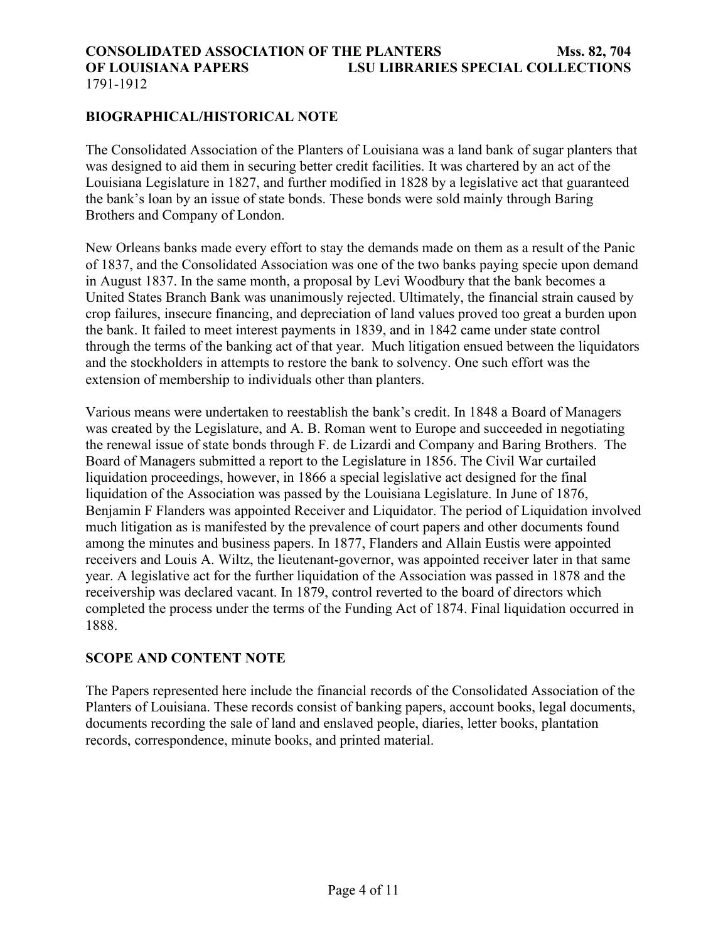#### <span id="page-3-0"></span>**CONSOLIDATED ASSOCIATION OF THE PLANTERS Mss. 82, 704 OF LOUISIANA PAPERS LSU LIBRARIES SPECIAL COLLECTIONS** 1791-1912

### **BIOGRAPHICAL/HISTORICAL NOTE**

The Consolidated Association of the Planters of Louisiana was a land bank of sugar planters that was designed to aid them in securing better credit facilities. It was chartered by an act of the Louisiana Legislature in 1827, and further modified in 1828 by a legislative act that guaranteed the bank's loan by an issue of state bonds. These bonds were sold mainly through Baring Brothers and Company of London.

New Orleans banks made every effort to stay the demands made on them as a result of the Panic of 1837, and the Consolidated Association was one of the two banks paying specie upon demand in August 1837. In the same month, a proposal by Levi Woodbury that the bank becomes a United States Branch Bank was unanimously rejected. Ultimately, the financial strain caused by crop failures, insecure financing, and depreciation of land values proved too great a burden upon the bank. It failed to meet interest payments in 1839, and in 1842 came under state control through the terms of the banking act of that year. Much litigation ensued between the liquidators and the stockholders in attempts to restore the bank to solvency. One such effort was the extension of membership to individuals other than planters.

Various means were undertaken to reestablish the bank's credit. In 1848 a Board of Managers was created by the Legislature, and A. B. Roman went to Europe and succeeded in negotiating the renewal issue of state bonds through F. de Lizardi and Company and Baring Brothers. The Board of Managers submitted a report to the Legislature in 1856. The Civil War curtailed liquidation proceedings, however, in 1866 a special legislative act designed for the final liquidation of the Association was passed by the Louisiana Legislature. In June of 1876, Benjamin F Flanders was appointed Receiver and Liquidator. The period of Liquidation involved much litigation as is manifested by the prevalence of court papers and other documents found among the minutes and business papers. In 1877, Flanders and Allain Eustis were appointed receivers and Louis A. Wiltz, the lieutenant-governor, was appointed receiver later in that same year. A legislative act for the further liquidation of the Association was passed in 1878 and the receivership was declared vacant. In 1879, control reverted to the board of directors which completed the process under the terms of the Funding Act of 1874. Final liquidation occurred in 1888.

### **SCOPE AND CONTENT NOTE**

The Papers represented here include the financial records of the Consolidated Association of the Planters of Louisiana. These records consist of banking papers, account books, legal documents, documents recording the sale of land and enslaved people, diaries, letter books, plantation records, correspondence, minute books, and printed material.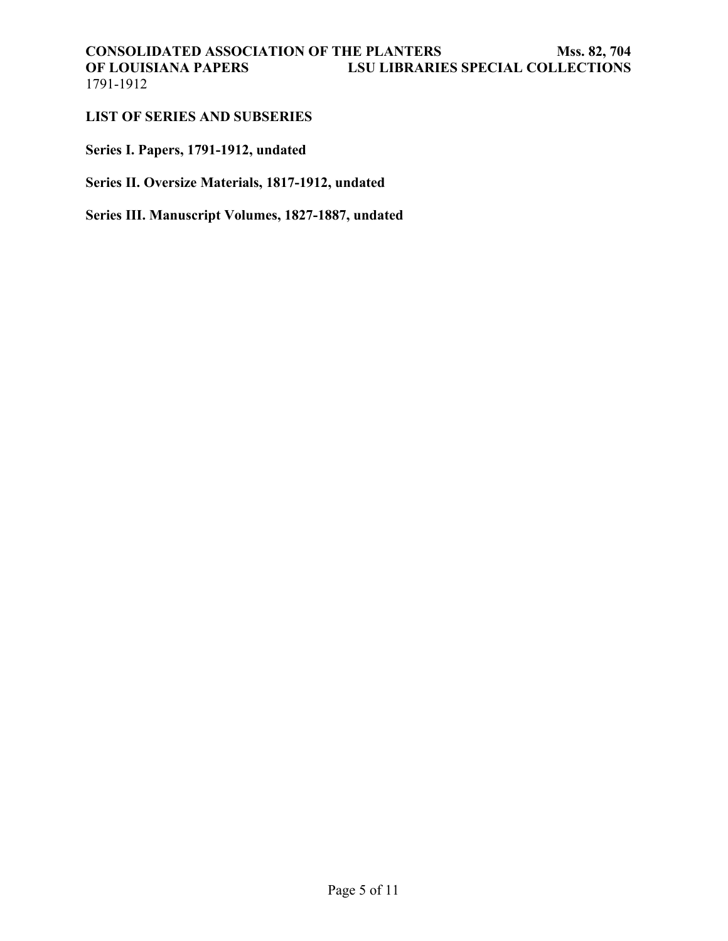#### <span id="page-4-0"></span>**LIST OF SERIES AND SUBSERIES**

**Series I. Papers, 1791-1912, undated**

**Series II. Oversize Materials, 1817-1912, undated**

**Series III. Manuscript Volumes, 1827-1887, undated**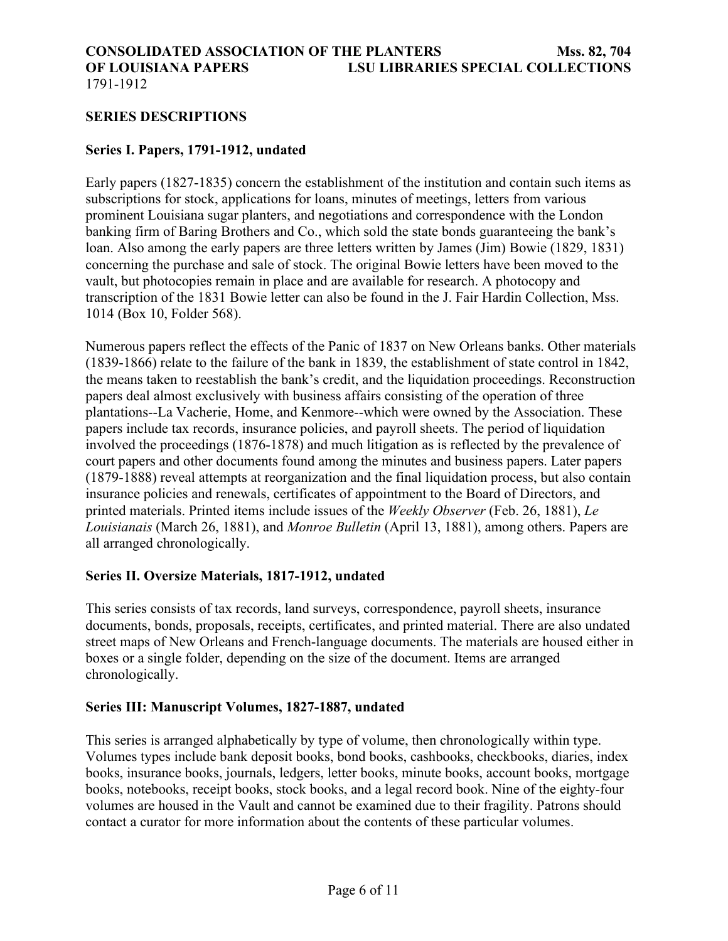#### <span id="page-5-0"></span>1791-1912

#### **SERIES DESCRIPTIONS**

#### **Series I. Papers, 1791-1912, undated**

Early papers (1827-1835) concern the establishment of the institution and contain such items as subscriptions for stock, applications for loans, minutes of meetings, letters from various prominent Louisiana sugar planters, and negotiations and correspondence with the London banking firm of Baring Brothers and Co., which sold the state bonds guaranteeing the bank's loan. Also among the early papers are three letters written by James (Jim) Bowie (1829, 1831) concerning the purchase and sale of stock. The original Bowie letters have been moved to the vault, but photocopies remain in place and are available for research. A photocopy and transcription of the 1831 Bowie letter can also be found in the J. Fair Hardin Collection, Mss. 1014 (Box 10, Folder 568).

Numerous papers reflect the effects of the Panic of 1837 on New Orleans banks. Other materials (1839-1866) relate to the failure of the bank in 1839, the establishment of state control in 1842, the means taken to reestablish the bank's credit, and the liquidation proceedings. Reconstruction papers deal almost exclusively with business affairs consisting of the operation of three plantations--La Vacherie, Home, and Kenmore--which were owned by the Association. These papers include tax records, insurance policies, and payroll sheets. The period of liquidation involved the proceedings (1876-1878) and much litigation as is reflected by the prevalence of court papers and other documents found among the minutes and business papers. Later papers (1879-1888) reveal attempts at reorganization and the final liquidation process, but also contain insurance policies and renewals, certificates of appointment to the Board of Directors, and printed materials. Printed items include issues of the *Weekly Observer* (Feb. 26, 1881), *Le Louisianais* (March 26, 1881), and *Monroe Bulletin* (April 13, 1881), among others. Papers are all arranged chronologically.

#### **Series II. Oversize Materials, 1817-1912, undated**

This series consists of tax records, land surveys, correspondence, payroll sheets, insurance documents, bonds, proposals, receipts, certificates, and printed material. There are also undated street maps of New Orleans and French-language documents. The materials are housed either in boxes or a single folder, depending on the size of the document. Items are arranged chronologically.

#### **Series III: Manuscript Volumes, 1827-1887, undated**

This series is arranged alphabetically by type of volume, then chronologically within type. Volumes types include bank deposit books, bond books, cashbooks, checkbooks, diaries, index books, insurance books, journals, ledgers, letter books, minute books, account books, mortgage books, notebooks, receipt books, stock books, and a legal record book. Nine of the eighty-four volumes are housed in the Vault and cannot be examined due to their fragility. Patrons should contact a curator for more information about the contents of these particular volumes.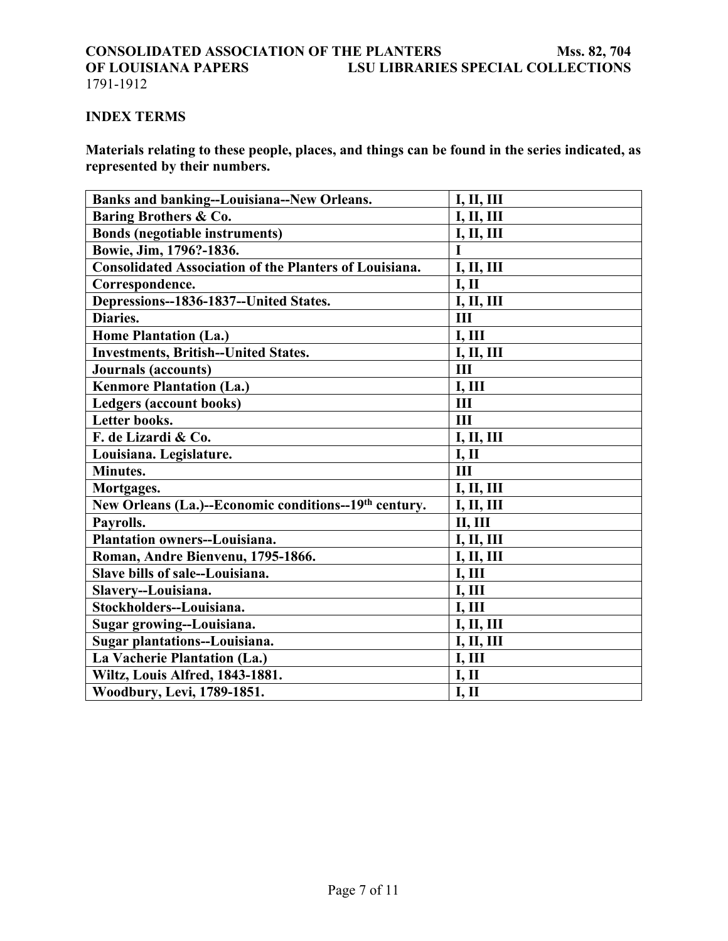# <span id="page-6-0"></span>**INDEX TERMS**

**Materials relating to these people, places, and things can be found in the series indicated, as represented by their numbers.**

| <b>Banks and banking--Louisiana--New Orleans.</b>                 | <b>I, II, III</b> |
|-------------------------------------------------------------------|-------------------|
| Baring Brothers & Co.                                             | <b>I, II, III</b> |
| <b>Bonds (negotiable instruments)</b>                             | <b>I, II, III</b> |
| Bowie, Jim, 1796?-1836.                                           | $\mathbf I$       |
| <b>Consolidated Association of the Planters of Louisiana.</b>     | I, II, III        |
| Correspondence.                                                   | <b>I, II</b>      |
| Depressions--1836-1837--United States.                            | I, II, III        |
| Diaries.                                                          | III               |
| <b>Home Plantation (La.)</b>                                      | <b>I, III</b>     |
| <b>Investments, British--United States.</b>                       | <b>I, II, III</b> |
| Journals (accounts)                                               | III               |
| <b>Kenmore Plantation (La.)</b>                                   | I, III            |
| Ledgers (account books)                                           | III               |
| Letter books.                                                     | III               |
| F. de Lizardi & Co.                                               | I, II, III        |
| Louisiana. Legislature.                                           | I, II             |
| Minutes.                                                          | III               |
| Mortgages.                                                        | I, II, III        |
| New Orleans (La.)--Economic conditions--19 <sup>th</sup> century. | I, II, III        |
| Payrolls.                                                         | <b>II, III</b>    |
| <b>Plantation owners--Louisiana.</b>                              | <b>I, II, III</b> |
| Roman, Andre Bienvenu, 1795-1866.                                 | I, II, III        |
| Slave bills of sale--Louisiana.                                   | I, III            |
| Slavery--Louisiana.                                               | I, III            |
| Stockholders--Louisiana.                                          | <b>I, III</b>     |
| Sugar growing--Louisiana.                                         | I, II, III        |
| Sugar plantations--Louisiana.                                     | I, II, III        |
| La Vacherie Plantation (La.)                                      | I, III            |
| Wiltz, Louis Alfred, 1843-1881.                                   | <b>I, II</b>      |
| Woodbury, Levi, 1789-1851.                                        | I, II             |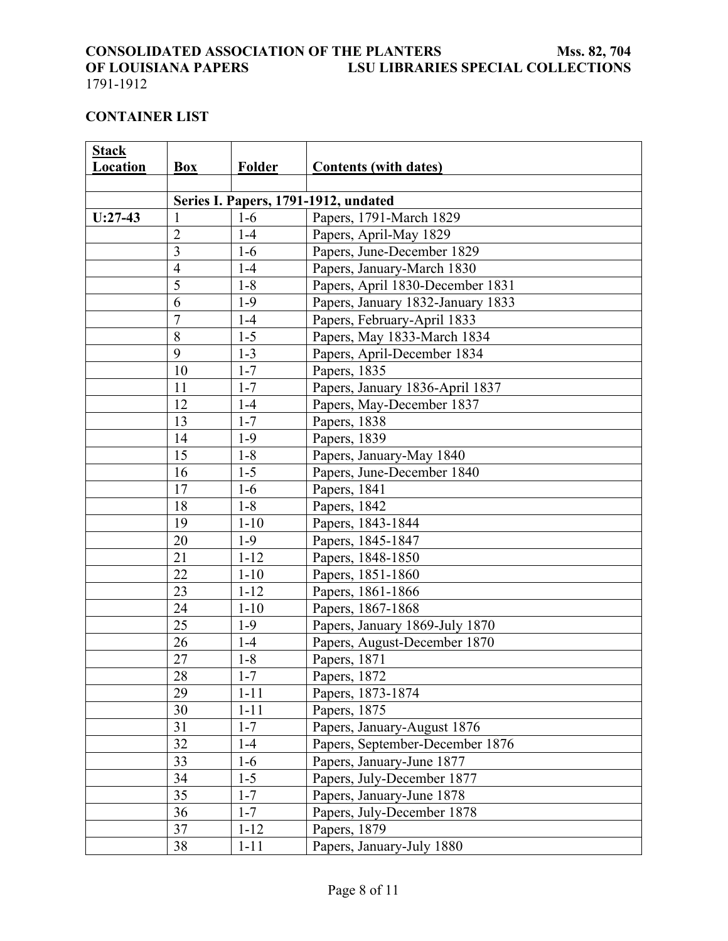# <span id="page-7-0"></span>**CONSOLIDATED ASSOCIATION OF THE PLANTERS Mss. 82, 704**<br>**CONSOLIDATED ASSOCIATION OF THE PLANTERS SPECIAL COLLECTIONS** LSU LIBRARIES SPECIAL COLLECTIONS

<u> 1989 - Johann Stoff, amerikansk politiker (d. 1989)</u>

### 1791-1912

#### **CONTAINER LIST**

| <b>Stack</b> |                |          |                                      |
|--------------|----------------|----------|--------------------------------------|
| Location     | Box            | Folder   | <b>Contents (with dates)</b>         |
|              |                |          |                                      |
|              |                |          | Series I. Papers, 1791-1912, undated |
| $U:27-43$    | 1              | $1-6$    | Papers, 1791-March 1829              |
|              | $\overline{c}$ | $1-4$    | Papers, April-May 1829               |
|              | 3              | $1-6$    | Papers, June-December 1829           |
|              | $\overline{4}$ | $1-4$    | Papers, January-March 1830           |
|              | 5              | $1 - 8$  | Papers, April 1830-December 1831     |
|              | 6              | $1-9$    | Papers, January 1832-January 1833    |
|              | $\overline{7}$ | $1-4$    | Papers, February-April 1833          |
|              | 8              | $1 - 5$  | Papers, May 1833-March 1834          |
|              | 9              | $1 - 3$  | Papers, April-December 1834          |
|              | 10             | $1 - 7$  | Papers, 1835                         |
|              | 11             | $1 - 7$  | Papers, January 1836-April 1837      |
|              | 12             | $1-4$    | Papers, May-December 1837            |
|              | 13             | $1 - 7$  | Papers, 1838                         |
|              | 14             | $1-9$    | Papers, 1839                         |
|              | 15             | $1 - 8$  | Papers, January-May 1840             |
|              | 16             | $1 - 5$  | Papers, June-December 1840           |
|              | 17             | $1-6$    | Papers, 1841                         |
|              | 18             | $1 - 8$  | Papers, 1842                         |
|              | 19             | $1 - 10$ | Papers, 1843-1844                    |
|              | 20             | $1-9$    | Papers, 1845-1847                    |
|              | 21             | $1 - 12$ | Papers, 1848-1850                    |
|              | 22             | $1 - 10$ | Papers, 1851-1860                    |
|              | 23             | $1 - 12$ | Papers, 1861-1866                    |
|              | 24             | $1 - 10$ | Papers, 1867-1868                    |
|              | 25             | $1-9$    | Papers, January 1869-July 1870       |
|              | 26             | $1-4$    | Papers, August-December 1870         |
|              | 27             | $1 - 8$  | Papers, 1871                         |
|              | $28\,$         | $1 - 7$  | Papers, 1872                         |
|              | 29             | $1 - 11$ | Papers, 1873-1874                    |
|              | 30             | $1 - 11$ | Papers, 1875                         |
|              | 31             | $1 - 7$  | Papers, January-August 1876          |
|              | 32             | $1-4$    | Papers, September-December 1876      |
|              | 33             | $1-6$    | Papers, January-June 1877            |
|              | 34             | $1 - 5$  | Papers, July-December 1877           |
|              | 35             | $1 - 7$  | Papers, January-June 1878            |
|              | 36             | $1 - 7$  | Papers, July-December 1878           |
|              | 37             | $1 - 12$ | Papers, 1879                         |
|              | 38             | $1 - 11$ | Papers, January-July 1880            |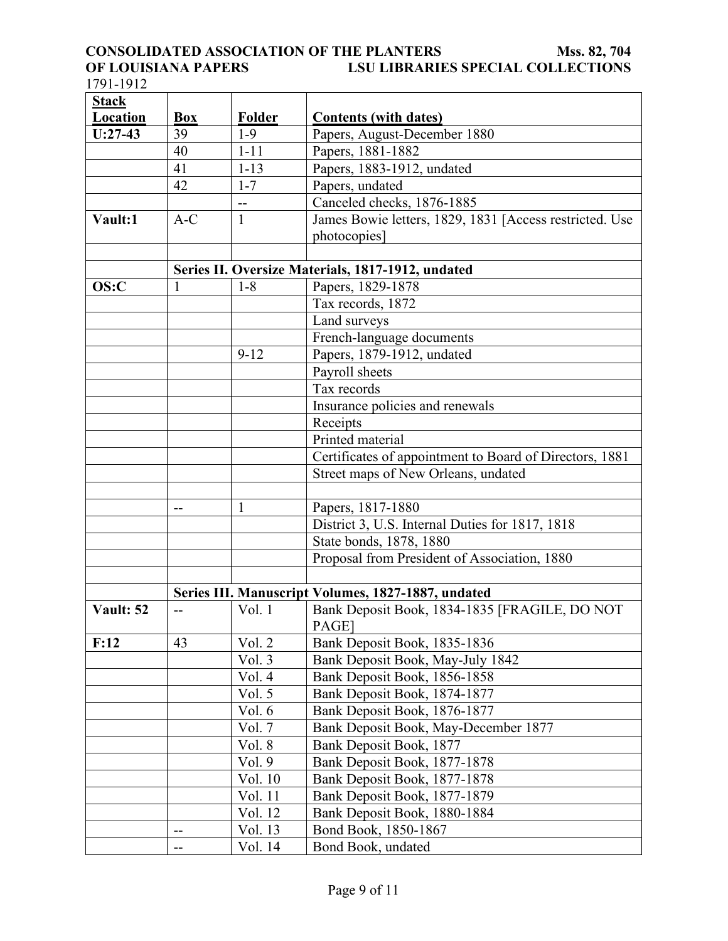# **CONSOLIDATED ASSOCIATION OF THE PLANTERS<br>OF LOUISIANA PAPERS LSU LIBRARIE OF LOUISIANTERS** Mss. 82, 704<br>LSU LIBRARIES SPECIAL COLLECTIONS

1791-1912

| <b>Stack</b>    |            |              |                                                         |
|-----------------|------------|--------------|---------------------------------------------------------|
| <b>Location</b> | <b>Box</b> | Folder       | <b>Contents (with dates)</b>                            |
| $U:27-43$       | 39         | $1-9$        | Papers, August-December 1880                            |
|                 | 40         | $1 - 11$     | Papers, 1881-1882                                       |
|                 | 41         | $1 - 13$     | Papers, 1883-1912, undated                              |
|                 | 42         | $1 - 7$      | Papers, undated                                         |
|                 |            | $-$          | Canceled checks, 1876-1885                              |
| Vault:1         | $A-C$      | $\mathbf{1}$ | James Bowie letters, 1829, 1831 [Access restricted. Use |
|                 |            |              | photocopies]                                            |
|                 |            |              |                                                         |
|                 |            |              | Series II. Oversize Materials, 1817-1912, undated       |
| OS:C            |            | $1 - 8$      | Papers, 1829-1878                                       |
|                 |            |              | Tax records, 1872                                       |
|                 |            |              | Land surveys                                            |
|                 |            |              | French-language documents                               |
|                 |            | $9 - 12$     | Papers, 1879-1912, undated                              |
|                 |            |              | Payroll sheets                                          |
|                 |            |              | Tax records                                             |
|                 |            |              | Insurance policies and renewals                         |
|                 |            |              | Receipts                                                |
|                 |            |              | Printed material                                        |
|                 |            |              | Certificates of appointment to Board of Directors, 1881 |
|                 |            |              | Street maps of New Orleans, undated                     |
|                 |            |              |                                                         |
|                 | --         | 1            | Papers, 1817-1880                                       |
|                 |            |              | District 3, U.S. Internal Duties for 1817, 1818         |
|                 |            |              | State bonds, 1878, 1880                                 |
|                 |            |              | Proposal from President of Association, 1880            |
|                 |            |              |                                                         |
|                 |            |              | Series III. Manuscript Volumes, 1827-1887, undated      |
| Vault: 52       | --         | Vol.1        | Bank Deposit Book, 1834-1835 [FRAGILE, DO NOT<br>PAGE]  |
| F:12            | 43         | Vol. 2       | Bank Deposit Book, 1835-1836                            |
|                 |            | Vol. 3       | Bank Deposit Book, May-July 1842                        |
|                 |            | Vol. 4       | Bank Deposit Book, 1856-1858                            |
|                 |            | Vol. 5       | Bank Deposit Book, 1874-1877                            |
|                 |            | Vol. 6       | Bank Deposit Book, 1876-1877                            |
|                 |            | Vol. 7       | Bank Deposit Book, May-December 1877                    |
|                 |            | Vol. 8       | Bank Deposit Book, 1877                                 |
|                 |            | Vol. 9       | Bank Deposit Book, 1877-1878                            |
|                 |            | Vol. 10      | Bank Deposit Book, 1877-1878                            |
|                 |            | Vol. 11      | Bank Deposit Book, 1877-1879                            |
|                 |            | Vol. 12      | Bank Deposit Book, 1880-1884                            |
|                 | $-$        | Vol. 13      | Bond Book, 1850-1867                                    |
|                 | --         | Vol. 14      | Bond Book, undated                                      |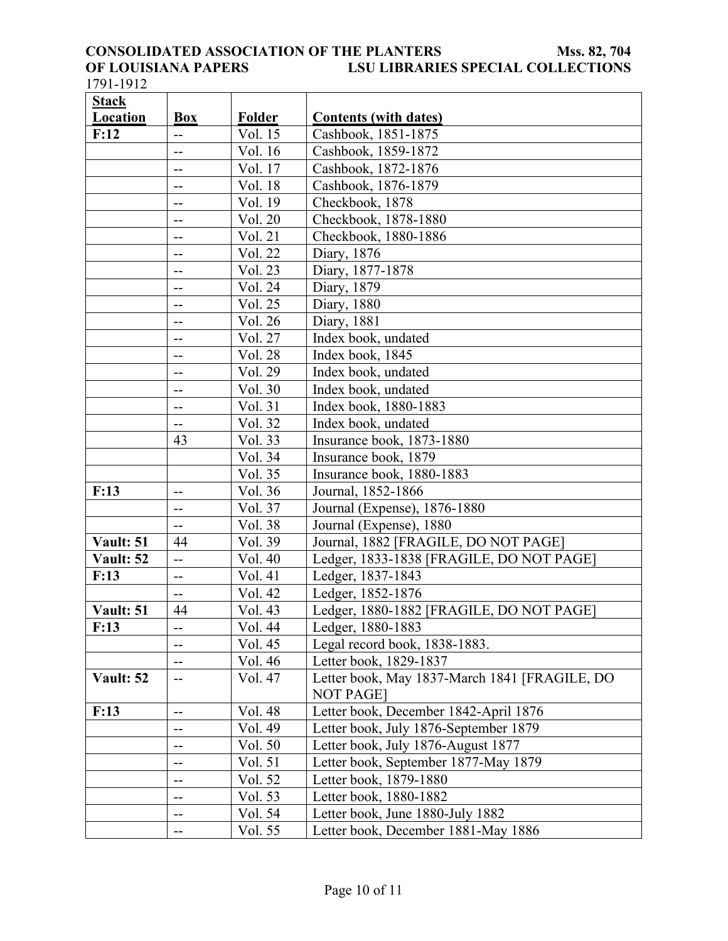# **CONSOLIDATED ASSOCIATION OF THE PLANTERS<br>OF LOUISIANA PAPERS LSU LIBRARIE OF LOUISIANA PAPERS LSU LIBRARIES SPECIAL COLLECTIONS**

1791-1912

| <b>Stack</b> |                          |         |                                               |
|--------------|--------------------------|---------|-----------------------------------------------|
| Location     | <b>Box</b>               | Folder  | <b>Contents (with dates)</b>                  |
| F:12         | $-$                      | Vol. 15 | Cashbook, 1851-1875                           |
|              | $\overline{\phantom{a}}$ | Vol. 16 | Cashbook, 1859-1872                           |
|              | --                       | Vol. 17 | Cashbook, 1872-1876                           |
|              | --                       | Vol. 18 | Cashbook, 1876-1879                           |
|              | --                       | Vol. 19 | Checkbook, 1878                               |
|              | --                       | Vol. 20 | Checkbook, 1878-1880                          |
|              | $\overline{\phantom{a}}$ | Vol. 21 | Checkbook, 1880-1886                          |
|              | --                       | Vol. 22 | Diary, 1876                                   |
|              | --                       | Vol. 23 | Diary, 1877-1878                              |
|              | --                       | Vol. 24 | Diary, 1879                                   |
|              | --                       | Vol. 25 | Diary, 1880                                   |
|              | --                       | Vol. 26 | Diary, 1881                                   |
|              | --                       | Vol. 27 | Index book, undated                           |
|              | --                       | Vol. 28 | Index book, 1845                              |
|              | --                       | Vol. 29 | Index book, undated                           |
|              | --                       | Vol. 30 | Index book, undated                           |
|              | $- -$                    | Vol. 31 | Index book, 1880-1883                         |
|              | --                       | Vol. 32 | Index book, undated                           |
|              | 43                       | Vol. 33 | Insurance book, 1873-1880                     |
|              |                          | Vol. 34 | Insurance book, 1879                          |
|              |                          | Vol. 35 | Insurance book, 1880-1883                     |
| F:13         | $-$                      | Vol. 36 | Journal, 1852-1866                            |
|              | $\qquad \qquad -$        | Vol. 37 | Journal (Expense), 1876-1880                  |
|              | $\overline{\phantom{a}}$ | Vol. 38 | Journal (Expense), 1880                       |
| Vault: 51    | 44                       | Vol. 39 | Journal, 1882 [FRAGILE, DO NOT PAGE]          |
| Vault: 52    | --                       | Vol. 40 | Ledger, 1833-1838 [FRAGILE, DO NOT PAGE]      |
| F:13         | $-$                      | Vol. 41 | Ledger, 1837-1843                             |
|              | $\overline{\phantom{a}}$ | Vol. 42 | Ledger, 1852-1876                             |
| Vault: 51    | 44                       | Vol. 43 | Ledger, 1880-1882 [FRAGILE, DO NOT PAGE]      |
| F:13         | --                       | Vol. 44 | Ledger, 1880-1883                             |
|              | --                       | Vol. 45 | Legal record book, 1838-1883.                 |
|              | $- -$                    | Vol. 46 | Letter book, 1829-1837                        |
| Vault: 52    | --                       | Vol. 47 | Letter book, May 1837-March 1841 [FRAGILE, DO |
|              |                          |         | <b>NOT PAGE</b>                               |
| F:13         | $- -$                    | Vol. 48 | Letter book, December 1842-April 1876         |
|              | $-\, -$                  | Vol. 49 | Letter book, July 1876-September 1879         |
|              | --                       | Vol. 50 | Letter book, July 1876-August 1877            |
|              | --                       | Vol. 51 | Letter book, September 1877-May 1879          |
|              | --                       | Vol. 52 | Letter book, 1879-1880                        |
|              | $- -$                    | Vol. 53 | Letter book, 1880-1882                        |
|              | $\qquad \qquad -$        | Vol. 54 | Letter book, June 1880-July 1882              |
|              | --                       | Vol. 55 | Letter book, December 1881-May 1886           |